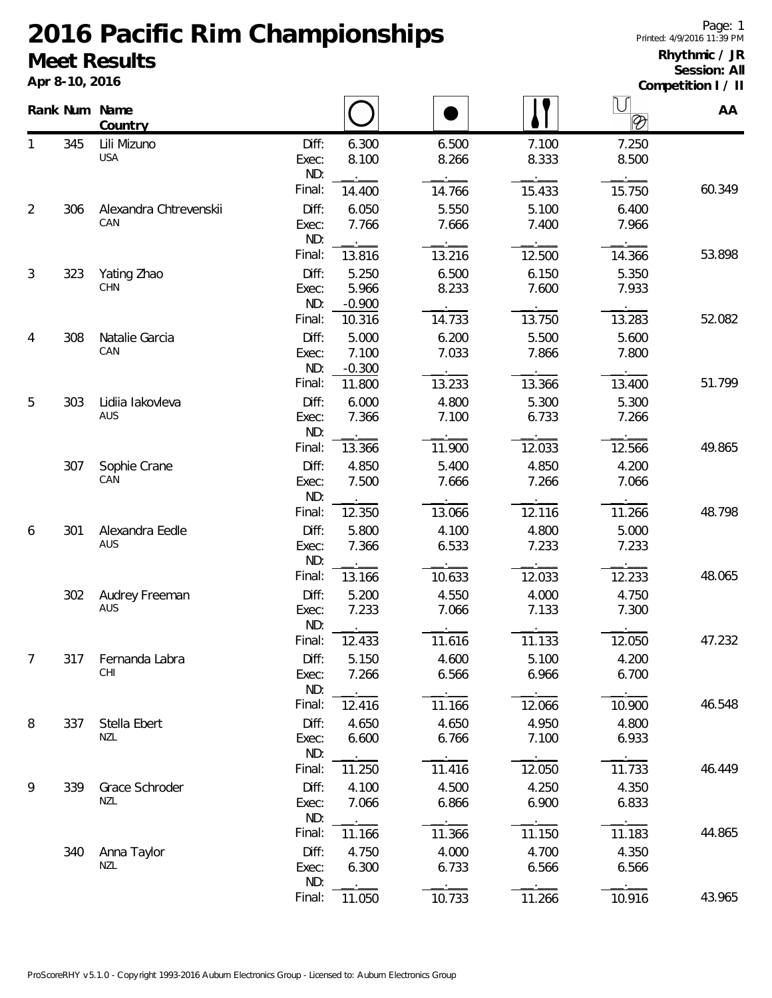## **2016 Pacific Rim Championships Meet Results**

**Apr 8-10, 2016**

## **Rhythmic / JR Session: All**

**Competition I / II**

|                |     | Rank Num Name<br>Country      |                       |                            |                |                | IJ<br>$\otimes$ | AA     |
|----------------|-----|-------------------------------|-----------------------|----------------------------|----------------|----------------|-----------------|--------|
| 1              | 345 | Lili Mizuno<br><b>USA</b>     | Diff:<br>Exec:        | 6.300<br>8.100             | 6.500<br>8.266 | 7.100<br>8.333 | 7.250<br>8.500  |        |
|                |     |                               | ND:<br>Final:         | 14.400                     | 14.766         | 15.433         | 15.750          | 60.349 |
| $\overline{2}$ | 306 | Alexandra Chtrevenskii<br>CAN | Diff:<br>Exec:<br>ND: | 6.050<br>7.766             | 5.550<br>7.666 | 5.100<br>7.400 | 6.400<br>7.966  |        |
|                |     |                               | Final:                | 13.816                     | 13.216         | 12.500         | 14.366          | 53.898 |
| 3              | 323 | Yating Zhao<br>CHN            | Diff:<br>Exec:<br>ND: | 5.250<br>5.966<br>$-0.900$ | 6.500<br>8.233 | 6.150<br>7.600 | 5.350<br>7.933  |        |
|                |     |                               | Final:                | 10.316                     | 14.733         | 13.750         | 13.283          | 52.082 |
| 4              | 308 | Natalie Garcia<br>CAN         | Diff:<br>Exec:<br>ND: | 5.000<br>7.100<br>$-0.300$ | 6.200<br>7.033 | 5.500<br>7.866 | 5.600<br>7.800  |        |
|                |     |                               | Final:                | 11.800                     | 13.233         | 13.366         | 13.400          | 51.799 |
| 5              | 303 | Lidiia lakovleva<br>AUS       | Diff:<br>Exec:<br>ND: | 6.000<br>7.366             | 4.800<br>7.100 | 5.300<br>6.733 | 5.300<br>7.266  |        |
|                |     |                               | Final:                | 13.366                     | 11.900         | 12.033         | 12.566          | 49.865 |
|                | 307 | Sophie Crane<br>CAN           | Diff:<br>Exec:<br>ND: | 4.850<br>7.500             | 5.400<br>7.666 | 4.850<br>7.266 | 4.200<br>7.066  |        |
|                |     |                               | Final:                | 12.350                     | 13.066         | 12.116         | 11.266          | 48.798 |
| 6              | 301 | Alexandra Eedle<br>AUS        | Diff:<br>Exec:<br>ND: | 5.800<br>7.366             | 4.100<br>6.533 | 4.800<br>7.233 | 5.000<br>7.233  |        |
|                |     |                               | Final:                | 13.166                     | 10.633         | 12.033         | 12.233          | 48.065 |
|                | 302 | Audrey Freeman<br>AUS         | Diff:<br>Exec:<br>ND: | 5.200<br>7.233             | 4.550<br>7.066 | 4.000<br>7.133 | 4.750<br>7.300  |        |
|                |     |                               | Final:                | 12.433                     | 11.616         | 11.133         | 12.050          | 47.232 |
| 7              | 317 | Fernanda Labra<br>CHI         | Diff:<br>Exec:<br>ND: | 5.150<br>7.266             | 4.600<br>6.566 | 5.100<br>6.966 | 4.200<br>6.700  |        |
|                |     |                               | Final:                | 12.416                     | 11.166         | 12.066         | 10.900          | 46.548 |
| 8              | 337 | Stella Ebert<br>NZL           | Diff:<br>Exec:<br>ND: | 4.650<br>6.600             | 4.650<br>6.766 | 4.950<br>7.100 | 4.800<br>6.933  |        |
|                |     |                               | Final:                | 11.250                     | 11.416         | 12.050         | 11.733          | 46.449 |
| 9              | 339 | Grace Schroder<br>NZL         | Diff:<br>Exec:<br>ND: | 4.100<br>7.066             | 4.500<br>6.866 | 4.250<br>6.900 | 4.350<br>6.833  |        |
|                |     |                               | Final:                | 11.166                     | 11.366         | 11.150         | 11.183          | 44.865 |
|                | 340 | Anna Taylor<br>NZL            | Diff:<br>Exec:<br>ND: | 4.750<br>6.300             | 4.000<br>6.733 | 4.700<br>6.566 | 4.350<br>6.566  |        |
|                |     |                               | Final:                | 11.050                     | 10.733         | 11.266         | 10.916          | 43.965 |